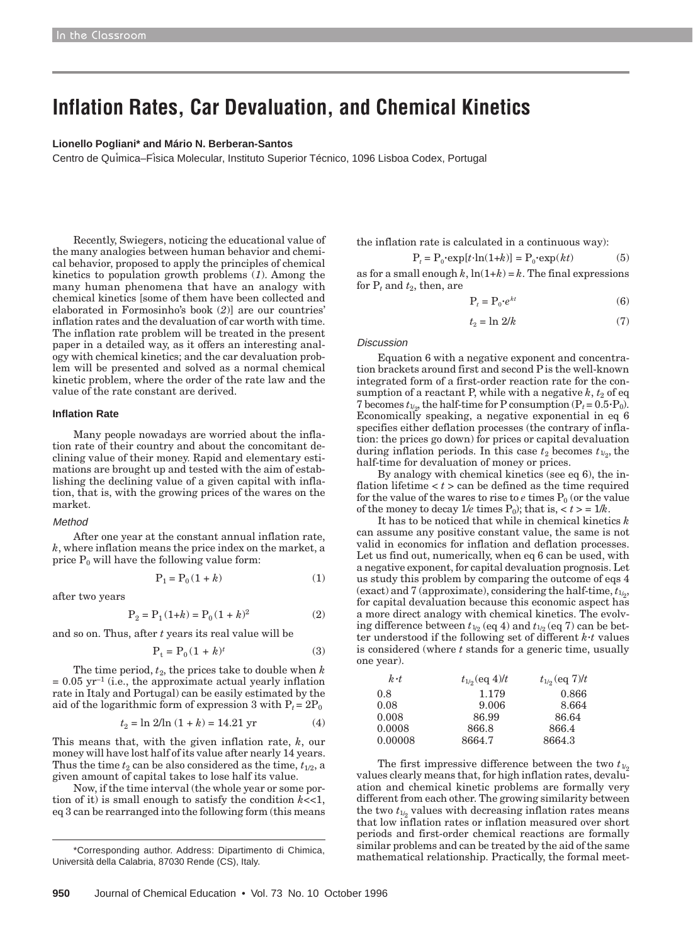# **Inflation Rates, Car Devaluation, and Chemical Kinetics**

#### **Lionello Pogliani\* and Mário N. Berberan-Santos**

Centro de Qu´imica–F´isica Molecular, Instituto Superior Técnico, 1096 Lisboa Codex, Portugal

Recently, Swiegers, noticing the educational value of the many analogies between human behavior and chemical behavior, proposed to apply the principles of chemical kinetics to population growth problems (*1*). Among the many human phenomena that have an analogy with chemical kinetics [some of them have been collected and elaborated in Formosinho's book (*2*)] are our countries' inflation rates and the devaluation of car worth with time. The inflation rate problem will be treated in the present paper in a detailed way, as it offers an interesting analogy with chemical kinetics; and the car devaluation problem will be presented and solved as a normal chemical kinetic problem, where the order of the rate law and the value of the rate constant are derived.

## **Inflation Rate**

Many people nowadays are worried about the inflation rate of their country and about the concomitant declining value of their money. Rapid and elementary estimations are brought up and tested with the aim of establishing the declining value of a given capital with inflation, that is, with the growing prices of the wares on the market.

#### Method

After one year at the constant annual inflation rate, *k*, where inflation means the price index on the market, a price  $P_0$  will have the following value form:

$$
P_1 = P_0(1 + k) \tag{1}
$$

after two years

$$
P_2 = P_1(1+k) = P_0(1+k)^2
$$
 (2)

and so on. Thus, after *t* years its real value will be

$$
\mathbf{P_t} = \mathbf{P_0} (1+k)^t \tag{3}
$$

The time period,  $t_2$ , the prices take to double when  $k$  $= 0.05$  yr<sup>-1</sup> (i.e., the approximate actual yearly inflation rate in Italy and Portugal) can be easily estimated by the aid of the logarithmic form of expression 3 with  $P_t = 2P_0$ 

$$
t_2 = \ln 2/\ln (1 + k) = 14.21 \text{ yr} \tag{4}
$$

This means that, with the given inflation rate, *k*, our money will have lost half of its value after nearly 14 years. Thus the time  $t_2$  can be also considered as the time,  $t_{1/2}$ , a given amount of capital takes to lose half its value.

Now, if the time interval (the whole year or some portion of it) is small enough to satisfy the condition *k*<<1, eq 3 can be rearranged into the following form (this means

the inflation rate is calculated in a continuous way):

$$
Pt = P0 \cdot \exp[t \cdot \ln(1+k)] = P0 \cdot \exp(kt)
$$
 (5)

as for a small enough  $k$ ,  $ln(1+k) = k$ . The final expressions for  $P_t$  and  $t_2$ , then, are

$$
P_t = P_0 \cdot e^{kt} \tag{6}
$$

$$
t_2 = \ln 2/k \tag{7}
$$

Discussion

Equation 6 with a negative exponent and concentration brackets around first and second P is the well-known integrated form of a first-order reaction rate for the consumption of a reactant P, while with a negative  $k$ ,  $t_2$  of eq 7 becomes  $t_{1/2}$ , the half-time for P consumption  $(P_t = 0.5 \cdot P_0)$ . Economically speaking, a negative exponential in eq 6 specifies either deflation processes (the contrary of inflation: the prices go down) for prices or capital devaluation during inflation periods. In this case  $t_2$  becomes  $t_{1/2}$ , the half-time for devaluation of money or prices.

By analogy with chemical kinetics (see eq 6), the inflation lifetime  $lt$   $t$   $>$  can be defined as the time required for the value of the wares to rise to  $e$  times  $P_0$  (or the value of the money to decay  $1/e$  times  $P_0$ ); that is,  $\langle t \rangle = 1/k$ .

It has to be noticed that while in chemical kinetics *k* can assume any positive constant value, the same is not valid in economics for inflation and deflation processes. Let us find out, numerically, when eq 6 can be used, with a negative exponent, for capital devaluation prognosis. Let us study this problem by comparing the outcome of eqs 4 (exact) and 7 (approximate), considering the half-time, *t*1/ 2 , for capital devaluation because this economic aspect has a more direct analogy with chemical kinetics. The evolving difference between  $t_{1/2}$  (eq 4) and  $t_{1/2}$  (eq 7) can be better understood if the following set of different  $k \cdot t$  values is considered (where *t* stands for a generic time, usually one year).

| $k \cdot t$ | $t_{1/2}$ (eq 4)/t | $t_{1/2}$ (eq 7)/t |  |  |
|-------------|--------------------|--------------------|--|--|
| 0.8         | 1.179              | 0.866              |  |  |
| 0.08        | 9.006              | 8.664              |  |  |
| 0.008       | 86.99              | 86.64              |  |  |
| 0.0008      | 866.8              | 866.4              |  |  |
| 0.00008     | 8664.7             | 8664.3             |  |  |

The first impressive difference between the two  $t_{1/2}$ values clearly means that, for high inflation rates, devaluation and chemical kinetic problems are formally very different from each other. The growing similarity between the two  $t_{1/2}$  values with decreasing inflation rates means that low inflation rates or inflation measured over short periods and first-order chemical reactions are formally similar problems and can be treated by the aid of the same \*Corresponding author. Address: Dipartimento di Chimica, and provients and can be created by the and of the same<br>Instite della Calabria, 87030 Rende (CS), Italy and the mathematical relationship. Practically, the formal me

Università della Calabria, 87030 Rende (CS), Italy.